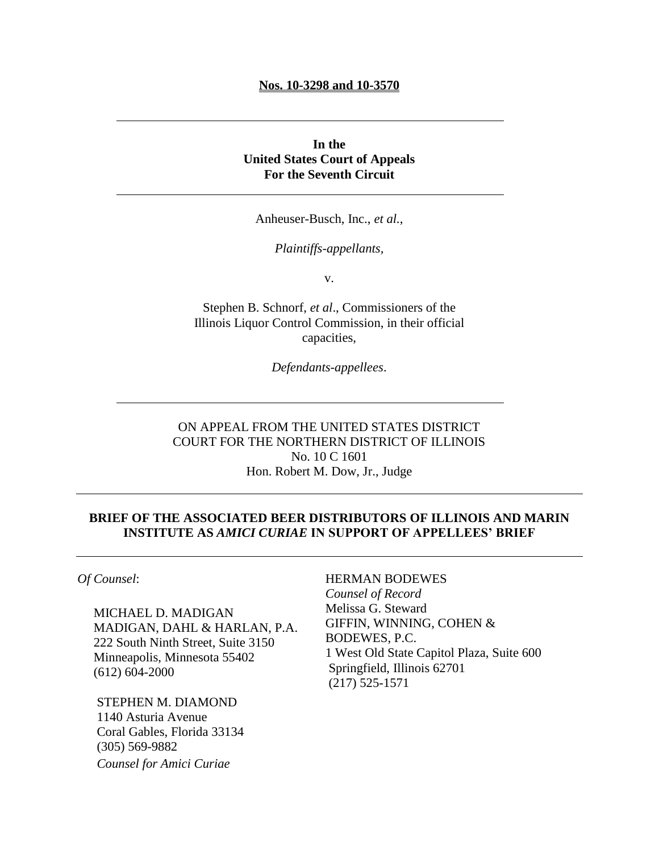#### **Nos. 10-3298 and 10-3570**

# **In the United States Court of Appeals For the Seventh Circuit**

Anheuser-Busch, Inc., *et al.*,

*Plaintiffs-appellants,*

v.

Stephen B. Schnorf, *et al*., Commissioners of the Illinois Liquor Control Commission, in their official capacities,

*Defendants-appellees*.

ON APPEAL FROM THE UNITED STATES DISTRICT COURT FOR THE NORTHERN DISTRICT OF ILLINOIS No. 10 C 1601 Hon. Robert M. Dow, Jr., Judge

# **BRIEF OF THE ASSOCIATED BEER DISTRIBUTORS OF ILLINOIS AND MARIN INSTITUTE AS** *AMICI CURIAE* **IN SUPPORT OF APPELLEES' BRIEF**

*Of Counsel*:

 MICHAEL D. MADIGAN MADIGAN, DAHL & HARLAN, P.A. 222 South Ninth Street, Suite 3150 Minneapolis, Minnesota 55402 (612) 604-2000

 STEPHEN M. DIAMOND 1140 Asturia Avenue Coral Gables, Florida 33134 (305) 569-9882 *Counsel for Amici Curiae*

# HERMAN BODEWES

 *Counsel of Record* Melissa G. Steward [GIFFIN, WINNING, COHEN &](http://pview.findlaw.com/view/2319414_1)   [BODEWES, P.C.](http://pview.findlaw.com/view/2319414_1) 1 West Old State Capitol Plaza, Suite 600 Springfield, Illinois 62701 (217) 525-1571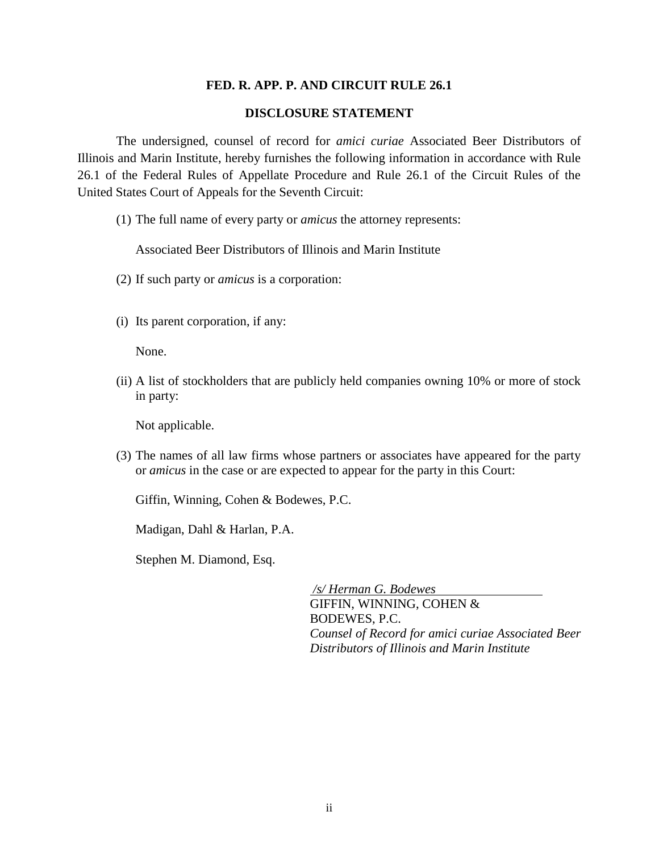## **FED. R. APP. P. AND CIRCUIT RULE 26.1**

## **DISCLOSURE STATEMENT**

The undersigned, counsel of record for *amici curiae* Associated Beer Distributors of Illinois and Marin Institute, hereby furnishes the following information in accordance with Rule 26.1 of the Federal Rules of Appellate Procedure and Rule 26.1 of the Circuit Rules of the United States Court of Appeals for the Seventh Circuit:

(1) The full name of every party or *amicus* the attorney represents:

Associated Beer Distributors of Illinois and Marin Institute

- (2) If such party or *amicus* is a corporation:
- (i) Its parent corporation, if any:

None.

(ii) A list of stockholders that are publicly held companies owning 10% or more of stock in party:

Not applicable.

(3) The names of all law firms whose partners or associates have appeared for the party or *amicus* in the case or are expected to appear for the party in this Court:

Giffin, Winning, Cohen & Bodewes, P.C.

Madigan, Dahl & Harlan, P.A.

Stephen M. Diamond, Esq.

*/s/ Herman G. Bodewes* GIFFIN, WINNING, COHEN & BODEWES, P.C. *Counsel of Record for amici curiae Associated Beer Distributors of Illinois and Marin Institute*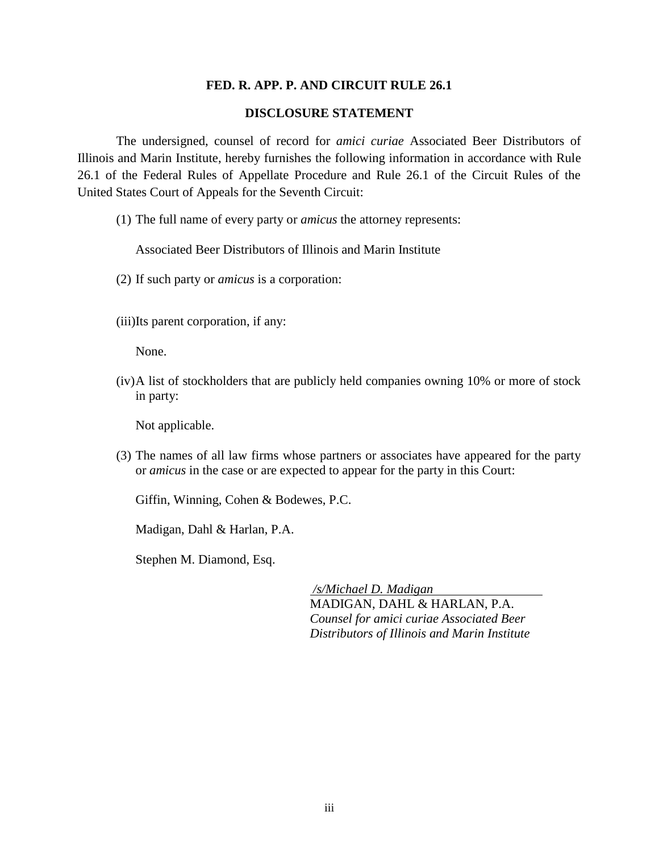## **FED. R. APP. P. AND CIRCUIT RULE 26.1**

## **DISCLOSURE STATEMENT**

The undersigned, counsel of record for *amici curiae* Associated Beer Distributors of Illinois and Marin Institute, hereby furnishes the following information in accordance with Rule 26.1 of the Federal Rules of Appellate Procedure and Rule 26.1 of the Circuit Rules of the United States Court of Appeals for the Seventh Circuit:

(1) The full name of every party or *amicus* the attorney represents:

Associated Beer Distributors of Illinois and Marin Institute

- (2) If such party or *amicus* is a corporation:
- (iii)Its parent corporation, if any:

None.

(iv)A list of stockholders that are publicly held companies owning 10% or more of stock in party:

Not applicable.

(3) The names of all law firms whose partners or associates have appeared for the party or *amicus* in the case or are expected to appear for the party in this Court:

Giffin, Winning, Cohen & Bodewes, P.C.

Madigan, Dahl & Harlan, P.A.

Stephen M. Diamond, Esq.

*/s/Michael D. Madigan* MADIGAN, DAHL & HARLAN, P.A. *Counsel for amici curiae Associated Beer Distributors of Illinois and Marin Institute*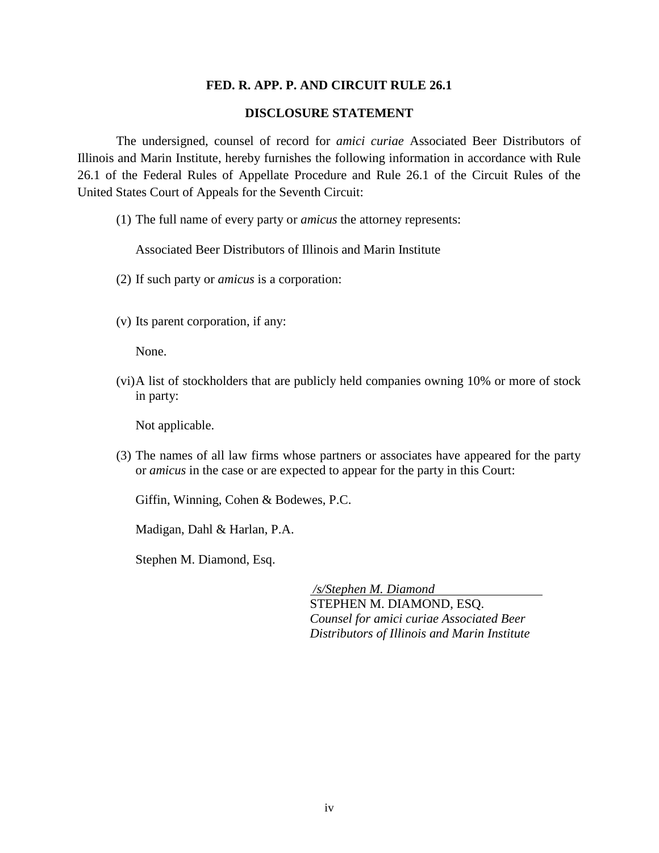## **FED. R. APP. P. AND CIRCUIT RULE 26.1**

## **DISCLOSURE STATEMENT**

The undersigned, counsel of record for *amici curiae* Associated Beer Distributors of Illinois and Marin Institute, hereby furnishes the following information in accordance with Rule 26.1 of the Federal Rules of Appellate Procedure and Rule 26.1 of the Circuit Rules of the United States Court of Appeals for the Seventh Circuit:

(1) The full name of every party or *amicus* the attorney represents:

Associated Beer Distributors of Illinois and Marin Institute

- (2) If such party or *amicus* is a corporation:
- (v) Its parent corporation, if any:

None.

(vi)A list of stockholders that are publicly held companies owning 10% or more of stock in party:

Not applicable.

(3) The names of all law firms whose partners or associates have appeared for the party or *amicus* in the case or are expected to appear for the party in this Court:

Giffin, Winning, Cohen & Bodewes, P.C.

Madigan, Dahl & Harlan, P.A.

Stephen M. Diamond, Esq.

*/s/Stephen M. Diamond* STEPHEN M. DIAMOND, ESQ. *Counsel for amici curiae Associated Beer Distributors of Illinois and Marin Institute*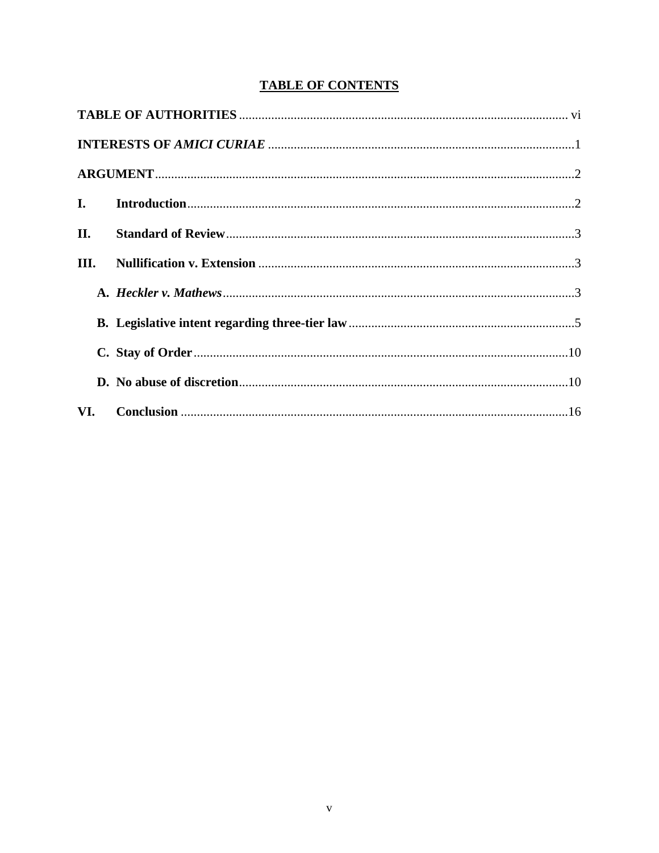# **TABLE OF CONTENTS**

| II.  |  |  |
|------|--|--|
| III. |  |  |
|      |  |  |
|      |  |  |
|      |  |  |
|      |  |  |
|      |  |  |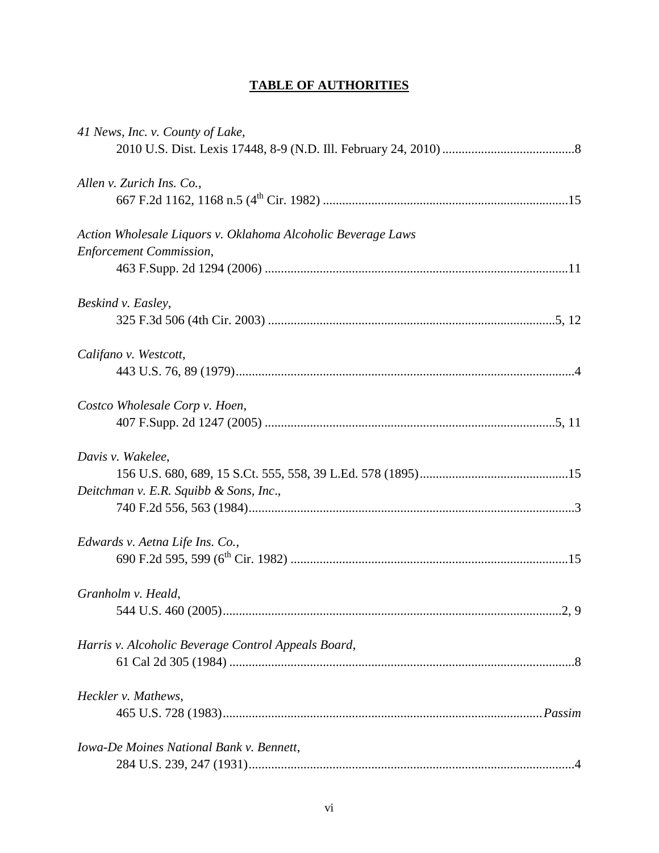# **TABLE OF AUTHORITIES**

| 41 News, Inc. v. County of Lake,                             |
|--------------------------------------------------------------|
| Allen v. Zurich Ins. Co.,                                    |
| Action Wholesale Liquors v. Oklahoma Alcoholic Beverage Laws |
| <b>Enforcement Commission,</b>                               |
| Beskind v. Easley,                                           |
|                                                              |
| Califano v. Westcott,                                        |
|                                                              |
| Costco Wholesale Corp v. Hoen,                               |
| Davis v. Wakelee,                                            |
|                                                              |
| Deitchman v. E.R. Squibb & Sons, Inc.,                       |
| Edwards v. Aetna Life Ins. Co.,                              |
|                                                              |
| Granholm v. Heald,                                           |
|                                                              |
| Harris v. Alcoholic Beverage Control Appeals Board,          |
|                                                              |
| Heckler v. Mathews,                                          |
|                                                              |
| Iowa-De Moines National Bank v. Bennett,                     |
|                                                              |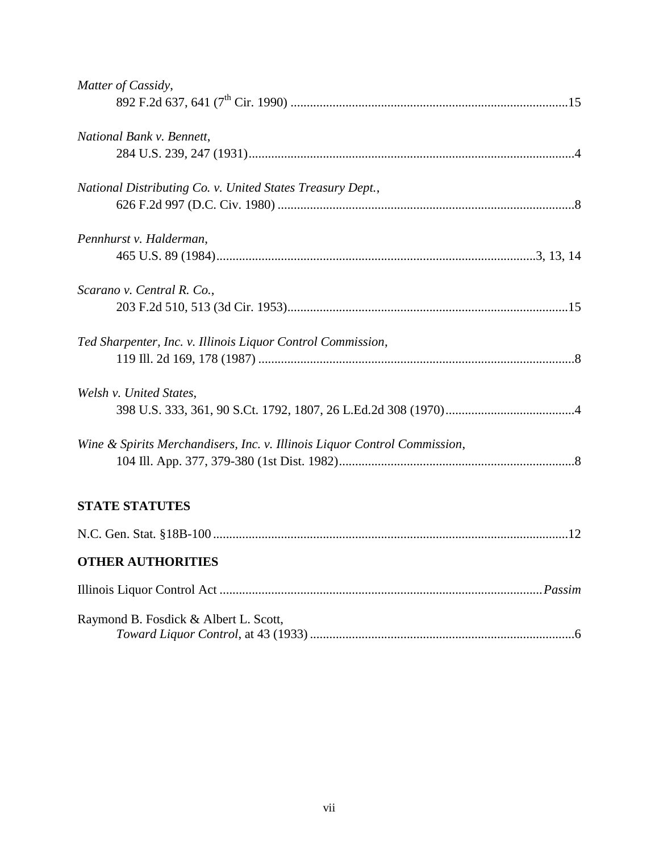| Matter of Cassidy,                                                        |  |
|---------------------------------------------------------------------------|--|
|                                                                           |  |
| National Bank v. Bennett,                                                 |  |
|                                                                           |  |
| National Distributing Co. v. United States Treasury Dept.,                |  |
|                                                                           |  |
| Pennhurst v. Halderman,                                                   |  |
|                                                                           |  |
| Scarano v. Central R. Co.,                                                |  |
|                                                                           |  |
| Ted Sharpenter, Inc. v. Illinois Liquor Control Commission,               |  |
|                                                                           |  |
| Welsh v. United States,                                                   |  |
|                                                                           |  |
| Wine & Spirits Merchandisers, Inc. v. Illinois Liquor Control Commission, |  |
|                                                                           |  |
|                                                                           |  |
| <b>STATE STATUTES</b>                                                     |  |
|                                                                           |  |
| <b>OTHER AUTHORITIES</b>                                                  |  |
|                                                                           |  |
| Raymond B. Fosdick & Albert L. Scott,                                     |  |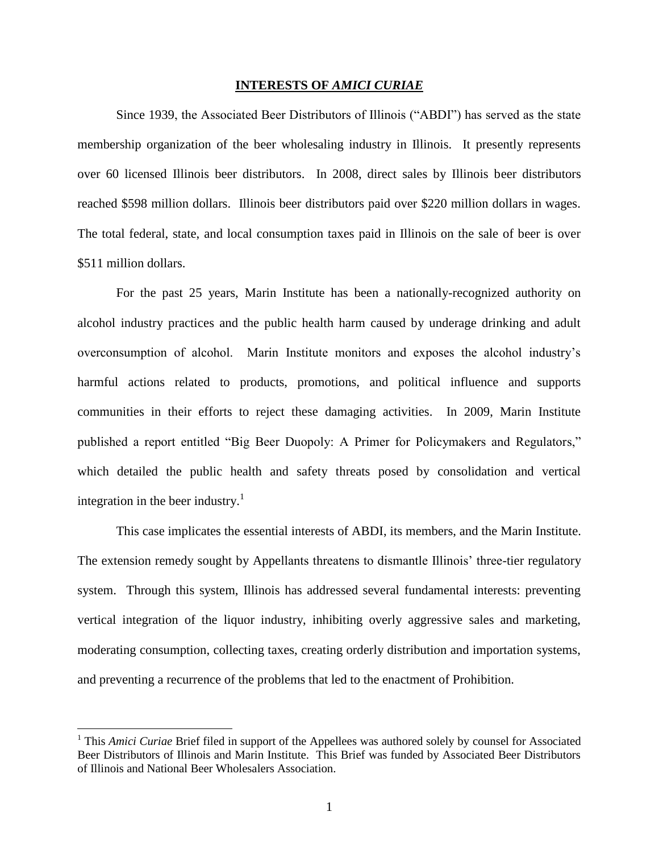#### **INTERESTS OF** *AMICI CURIAE*

Since 1939, the Associated Beer Distributors of Illinois ("ABDI") has served as the state membership organization of the beer wholesaling industry in Illinois. It presently represents over 60 licensed Illinois beer distributors. In 2008, direct sales by Illinois beer distributors reached \$598 million dollars. Illinois beer distributors paid over \$220 million dollars in wages. The total federal, state, and local consumption taxes paid in Illinois on the sale of beer is over \$511 million dollars.

For the past 25 years, Marin Institute has been a nationally-recognized authority on alcohol industry practices and the public health harm caused by underage drinking and adult overconsumption of alcohol. Marin Institute monitors and exposes the alcohol industry"s harmful actions related to products, promotions, and political influence and supports communities in their efforts to reject these damaging activities. In 2009, Marin Institute published a report entitled "Big Beer Duopoly: A Primer for Policymakers and Regulators," which detailed the public health and safety threats posed by consolidation and vertical integration in the beer industry.<sup>1</sup>

This case implicates the essential interests of ABDI, its members, and the Marin Institute. The extension remedy sought by Appellants threatens to dismantle Illinois" three-tier regulatory system. Through this system, Illinois has addressed several fundamental interests: preventing vertical integration of the liquor industry, inhibiting overly aggressive sales and marketing, moderating consumption, collecting taxes, creating orderly distribution and importation systems, and preventing a recurrence of the problems that led to the enactment of Prohibition.

 $\overline{a}$ 

<sup>&</sup>lt;sup>1</sup> This *Amici Curiae* Brief filed in support of the Appellees was authored solely by counsel for Associated Beer Distributors of Illinois and Marin Institute. This Brief was funded by Associated Beer Distributors of Illinois and National Beer Wholesalers Association.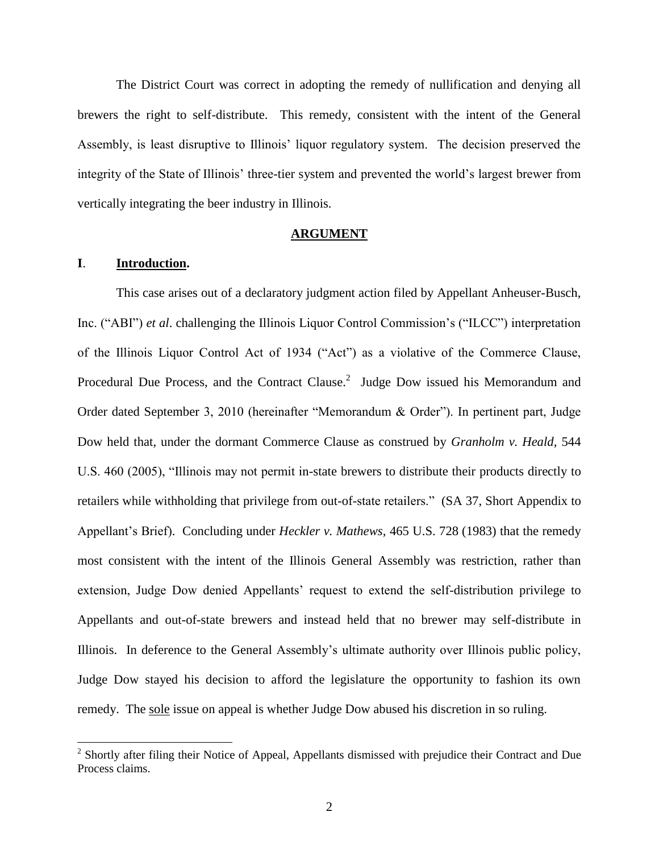The District Court was correct in adopting the remedy of nullification and denying all brewers the right to self-distribute. This remedy, consistent with the intent of the General Assembly, is least disruptive to Illinois" liquor regulatory system. The decision preserved the integrity of the State of Illinois" three-tier system and prevented the world"s largest brewer from vertically integrating the beer industry in Illinois.

#### **ARGUMENT**

## **I**. **Introduction.**

 $\overline{\phantom{a}}$ 

This case arises out of a declaratory judgment action filed by Appellant Anheuser-Busch, Inc. ("ABI") *et al*. challenging the Illinois Liquor Control Commission"s ("ILCC") interpretation of the Illinois Liquor Control Act of 1934 ("Act") as a violative of the Commerce Clause, Procedural Due Process, and the Contract Clause.<sup>2</sup> Judge Dow issued his Memorandum and Order dated September 3, 2010 (hereinafter "Memorandum & Order"). In pertinent part, Judge Dow held that, under the dormant Commerce Clause as construed by *Granholm v. Heald*, 544 U.S. 460 (2005), "Illinois may not permit in-state brewers to distribute their products directly to retailers while withholding that privilege from out-of-state retailers." (SA 37, Short Appendix to Appellant"s Brief). Concluding under *Heckler v. Mathews*, 465 U.S. 728 (1983) that the remedy most consistent with the intent of the Illinois General Assembly was restriction, rather than extension, Judge Dow denied Appellants' request to extend the self-distribution privilege to Appellants and out-of-state brewers and instead held that no brewer may self-distribute in Illinois. In deference to the General Assembly"s ultimate authority over Illinois public policy, Judge Dow stayed his decision to afford the legislature the opportunity to fashion its own remedy. The sole issue on appeal is whether Judge Dow abused his discretion in so ruling.

<sup>&</sup>lt;sup>2</sup> Shortly after filing their Notice of Appeal, Appellants dismissed with prejudice their Contract and Due Process claims.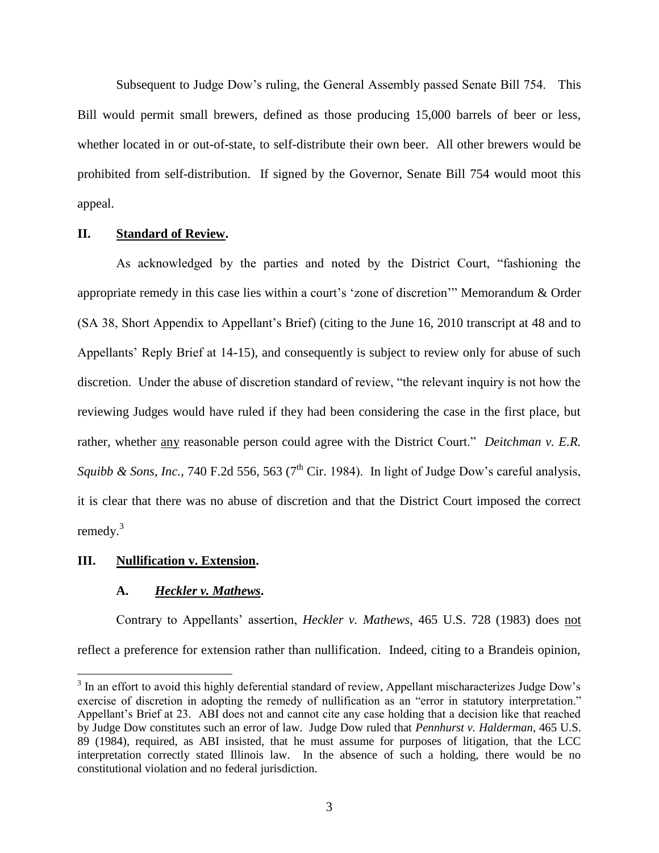Subsequent to Judge Dow"s ruling, the General Assembly passed Senate Bill 754. This Bill would permit small brewers, defined as those producing 15,000 barrels of beer or less, whether located in or out-of-state, to self-distribute their own beer. All other brewers would be prohibited from self-distribution. If signed by the Governor, Senate Bill 754 would moot this appeal.

## **II. Standard of Review.**

As acknowledged by the parties and noted by the District Court, "fashioning the appropriate remedy in this case lies within a court"s "zone of discretion"" Memorandum & Order (SA 38, Short Appendix to Appellant"s Brief) (citing to the June 16, 2010 transcript at 48 and to Appellants' Reply Brief at 14-15), and consequently is subject to review only for abuse of such discretion. Under the abuse of discretion standard of review, "the relevant inquiry is not how the reviewing Judges would have ruled if they had been considering the case in the first place, but rather, whether any reasonable person could agree with the District Court." *Deitchman v. E.R.*  Squibb & Sons, Inc., 740 F.2d 556, 563 (7<sup>th</sup> Cir. 1984). In light of Judge Dow's careful analysis, it is clear that there was no abuse of discretion and that the District Court imposed the correct remedy.<sup>3</sup>

#### **III. Nullification v. Extension.**

 $\overline{a}$ 

## **A.** *Heckler v. Mathews***.**

Contrary to Appellants" assertion, *Heckler v. Mathews*, 465 U.S. 728 (1983) does not reflect a preference for extension rather than nullification. Indeed, citing to a Brandeis opinion,

 $3$  In an effort to avoid this highly deferential standard of review, Appellant mischaracterizes Judge Dow's exercise of discretion in adopting the remedy of nullification as an "error in statutory interpretation." Appellant's Brief at 23. ABI does not and cannot cite any case holding that a decision like that reached by Judge Dow constitutes such an error of law. Judge Dow ruled that *Pennhurst v. Halderman*, 465 U.S. 89 (1984), required, as ABI insisted, that he must assume for purposes of litigation, that the LCC interpretation correctly stated Illinois law. In the absence of such a holding, there would be no constitutional violation and no federal jurisdiction.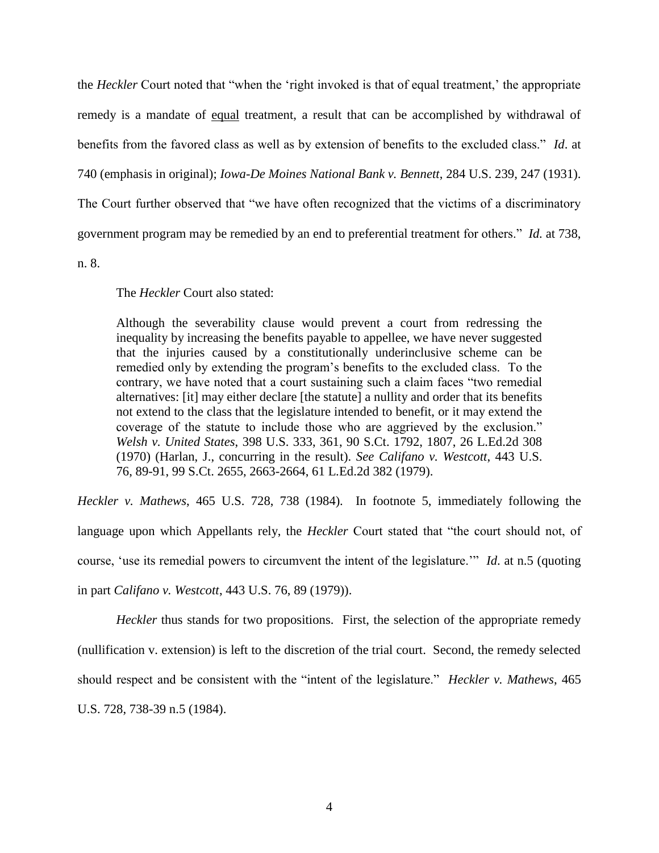the *Heckler* Court noted that "when the 'right invoked is that of equal treatment,' the appropriate remedy is a mandate of equal treatment, a result that can be accomplished by withdrawal of benefits from the favored class as well as by extension of benefits to the excluded class." *Id*. at 740 (emphasis in original); *Iowa-De Moines National Bank v. Bennett*, 284 U.S. 239, 247 (1931). The Court further observed that "we have often recognized that the victims of a discriminatory government program may be remedied by an end to preferential treatment for others." *Id.* at 738,

n. 8.

The *Heckler* Court also stated:

Although the severability clause would prevent a court from redressing the inequality by increasing the benefits payable to appellee, we have never suggested that the injuries caused by a constitutionally underinclusive scheme can be remedied only by extending the program"s benefits to the excluded class. To the contrary, we have noted that a court sustaining such a claim faces "two remedial alternatives: [it] may either declare [the statute] a nullity and order that its benefits not extend to the class that the legislature intended to benefit, or it may extend the coverage of the statute to include those who are aggrieved by the exclusion." *Welsh v. United States*, 398 U.S. 333, 361, 90 S.Ct. 1792, 1807, 26 L.Ed.2d 308 (1970) (Harlan, J., concurring in the result). *See Califano v. Westcott*, 443 U.S. 76, 89-91, 99 S.Ct. 2655, 2663-2664, 61 L.Ed.2d 382 (1979).

*Heckler v. Mathews*, 465 U.S. 728, 738 (1984). In footnote 5, immediately following the language upon which Appellants rely, the *Heckler* Court stated that "the court should not, of course, "use its remedial powers to circumvent the intent of the legislature."" *Id*. at n.5 (quoting in part *Califano v. Westcott*, 443 U.S. 76, 89 (1979)).

*Heckler* thus stands for two propositions. First, the selection of the appropriate remedy (nullification v. extension) is left to the discretion of the trial court. Second, the remedy selected should respect and be consistent with the "intent of the legislature." *Heckler v. Mathews*, 465 U.S. 728, 738-39 n.5 (1984).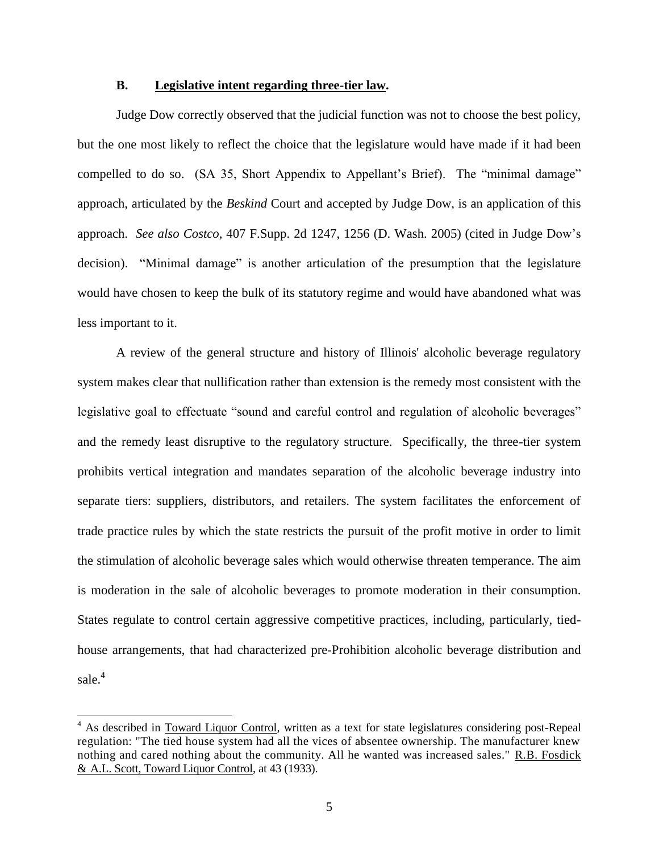#### **B. Legislative intent regarding three-tier law.**

Judge Dow correctly observed that the judicial function was not to choose the best policy, but the one most likely to reflect the choice that the legislature would have made if it had been compelled to do so. (SA 35, Short Appendix to Appellant"s Brief). The "minimal damage" approach, articulated by the *Beskind* Court and accepted by Judge Dow, is an application of this approach. *See also Costco*, 407 F.Supp. 2d 1247, 1256 (D. Wash. 2005) (cited in Judge Dow"s decision). "Minimal damage" is another articulation of the presumption that the legislature would have chosen to keep the bulk of its statutory regime and would have abandoned what was less important to it.

A review of the general structure and history of Illinois' alcoholic beverage regulatory system makes clear that nullification rather than extension is the remedy most consistent with the legislative goal to effectuate "sound and careful control and regulation of alcoholic beverages" and the remedy least disruptive to the regulatory structure. Specifically, the three-tier system prohibits vertical integration and mandates separation of the alcoholic beverage industry into separate tiers: suppliers, distributors, and retailers. The system facilitates the enforcement of trade practice rules by which the state restricts the pursuit of the profit motive in order to limit the stimulation of alcoholic beverage sales which would otherwise threaten temperance. The aim is moderation in the sale of alcoholic beverages to promote moderation in their consumption. States regulate to control certain aggressive competitive practices, including, particularly, tiedhouse arrangements, that had characterized pre-Prohibition alcoholic beverage distribution and sale. $4$ 

l

<sup>&</sup>lt;sup>4</sup> As described in Toward Liquor Control, written as a text for state legislatures considering post-Repeal regulation: "The tied house system had all the vices of absentee ownership. The manufacturer knew nothing and cared nothing about the community. All he wanted was increased sales." R.B. Fosdick & A.L. Scott, Toward Liquor Control, at 43 (1933).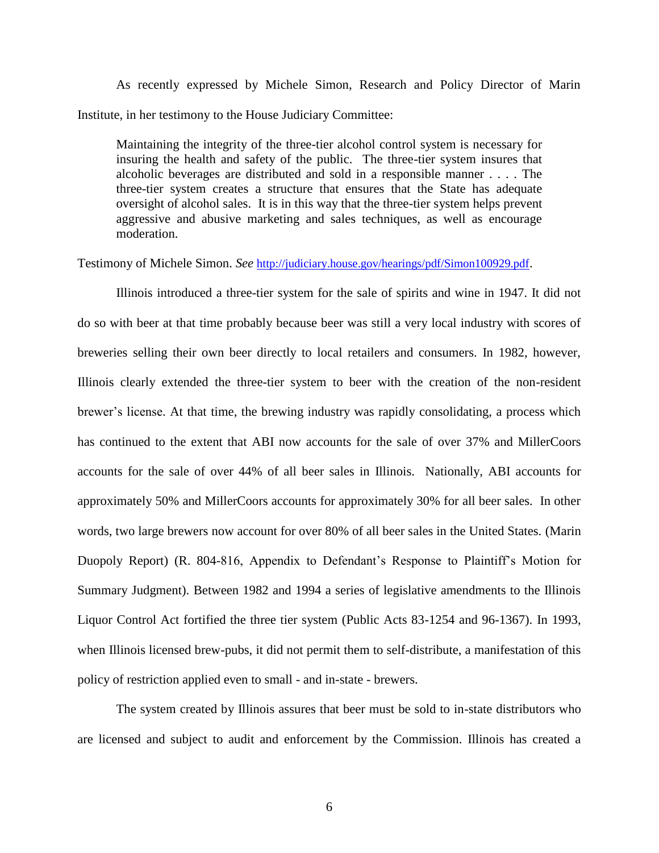As recently expressed by Michele Simon, Research and Policy Director of Marin Institute, in her testimony to the House Judiciary Committee:

Maintaining the integrity of the three-tier alcohol control system is necessary for insuring the health and safety of the public. The three-tier system insures that alcoholic beverages are distributed and sold in a responsible manner . . . . The three-tier system creates a structure that ensures that the State has adequate oversight of alcohol sales. It is in this way that the three-tier system helps prevent aggressive and abusive marketing and sales techniques, as well as encourage moderation.

Testimony of Michele Simon. *See* <http://judiciary.house.gov/hearings/pdf/Simon100929.pdf>.

Illinois introduced a three-tier system for the sale of spirits and wine in 1947. It did not do so with beer at that time probably because beer was still a very local industry with scores of breweries selling their own beer directly to local retailers and consumers. In 1982, however, Illinois clearly extended the three-tier system to beer with the creation of the non-resident brewer's license. At that time, the brewing industry was rapidly consolidating, a process which has continued to the extent that ABI now accounts for the sale of over 37% and MillerCoors accounts for the sale of over 44% of all beer sales in Illinois. Nationally, ABI accounts for approximately 50% and MillerCoors accounts for approximately 30% for all beer sales. In other words, two large brewers now account for over 80% of all beer sales in the United States. (Marin Duopoly Report) (R. 804-816, Appendix to Defendant's Response to Plaintiff's Motion for Summary Judgment). Between 1982 and 1994 a series of legislative amendments to the Illinois Liquor Control Act fortified the three tier system (Public Acts 83-1254 and 96-1367). In 1993, when Illinois licensed brew-pubs, it did not permit them to self-distribute, a manifestation of this policy of restriction applied even to small - and in-state - brewers.

The system created by Illinois assures that beer must be sold to in-state distributors who are licensed and subject to audit and enforcement by the Commission. Illinois has created a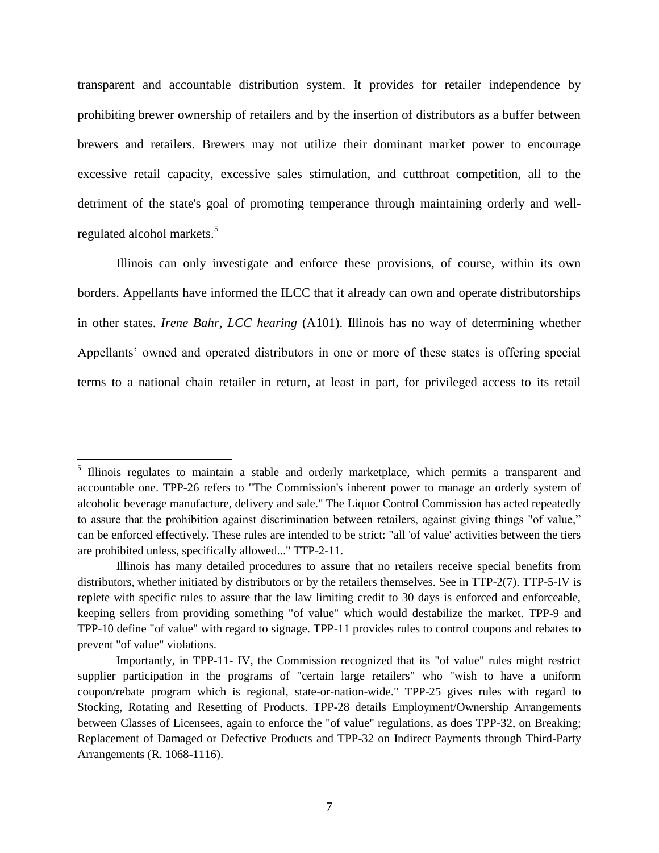transparent and accountable distribution system. It provides for retailer independence by prohibiting brewer ownership of retailers and by the insertion of distributors as a buffer between brewers and retailers. Brewers may not utilize their dominant market power to encourage excessive retail capacity, excessive sales stimulation, and cutthroat competition, all to the detriment of the state's goal of promoting temperance through maintaining orderly and wellregulated alcohol markets.<sup>5</sup>

Illinois can only investigate and enforce these provisions, of course, within its own borders. Appellants have informed the ILCC that it already can own and operate distributorships in other states. *Irene Bahr, LCC hearing* (A101). Illinois has no way of determining whether Appellants' owned and operated distributors in one or more of these states is offering special terms to a national chain retailer in return, at least in part, for privileged access to its retail

 $\overline{\phantom{a}}$ 

<sup>&</sup>lt;sup>5</sup> Illinois regulates to maintain a stable and orderly marketplace, which permits a transparent and accountable one. TPP-26 refers to "The Commission's inherent power to manage an orderly system of alcoholic beverage manufacture, delivery and sale." The Liquor Control Commission has acted repeatedly to assure that the prohibition against discrimination between retailers, against giving things "of value," can be enforced effectively. These rules are intended to be strict: "all 'of value' activities between the tiers are prohibited unless, specifically allowed..." TTP-2-11.

Illinois has many detailed procedures to assure that no retailers receive special benefits from distributors, whether initiated by distributors or by the retailers themselves. See in TTP-2(7). TTP-5-IV is replete with specific rules to assure that the law limiting credit to 30 days is enforced and enforceable, keeping sellers from providing something "of value" which would destabilize the market. TPP-9 and TPP-10 define "of value" with regard to signage. TPP-11 provides rules to control coupons and rebates to prevent "of value" violations.

Importantly, in TPP-11- IV, the Commission recognized that its "of value" rules might restrict supplier participation in the programs of "certain large retailers" who "wish to have a uniform coupon/rebate program which is regional, state-or-nation-wide." TPP-25 gives rules with regard to Stocking, Rotating and Resetting of Products. TPP-28 details Employment/Ownership Arrangements between Classes of Licensees, again to enforce the "of value" regulations, as does TPP-32, on Breaking; Replacement of Damaged or Defective Products and TPP-32 on Indirect Payments through Third-Party Arrangements (R. 1068-1116).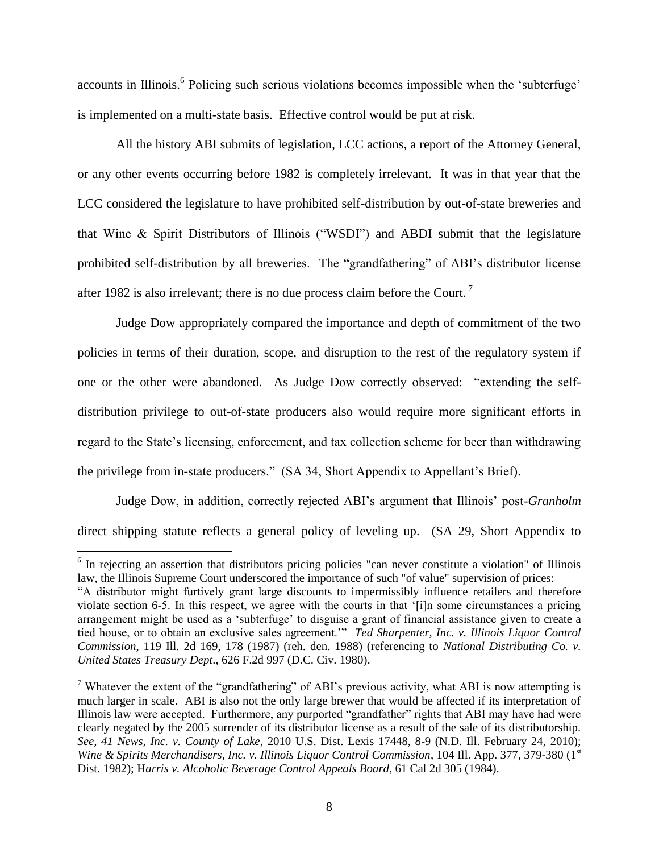accounts in Illinois.<sup>6</sup> Policing such serious violations becomes impossible when the 'subterfuge' is implemented on a multi-state basis. Effective control would be put at risk.

All the history ABI submits of legislation, LCC actions, a report of the Attorney General, or any other events occurring before 1982 is completely irrelevant. It was in that year that the LCC considered the legislature to have prohibited self-distribution by out-of-state breweries and that Wine & Spirit Distributors of Illinois ("WSDI") and ABDI submit that the legislature prohibited self-distribution by all breweries. The "grandfathering" of ABI"s distributor license after 1982 is also irrelevant; there is no due process claim before the Court.<sup>7</sup>

Judge Dow appropriately compared the importance and depth of commitment of the two policies in terms of their duration, scope, and disruption to the rest of the regulatory system if one or the other were abandoned. As Judge Dow correctly observed: "extending the selfdistribution privilege to out-of-state producers also would require more significant efforts in regard to the State"s licensing, enforcement, and tax collection scheme for beer than withdrawing the privilege from in-state producers." (SA 34, Short Appendix to Appellant's Brief).

Judge Dow, in addition, correctly rejected ABI"s argument that Illinois" post-*Granholm* direct shipping statute reflects a general policy of leveling up. (SA 29, Short Appendix to

<sup>&</sup>lt;sup>6</sup> In rejecting an assertion that distributors pricing policies "can never constitute a violation" of Illinois law, the Illinois Supreme Court underscored the importance of such "of value" supervision of prices:

<sup>&</sup>quot;A distributor might furtively grant large discounts to impermissibly influence retailers and therefore violate section 6-5. In this respect, we agree with the courts in that "[i]n some circumstances a pricing arrangement might be used as a "subterfuge" to disguise a grant of financial assistance given to create a tied house, or to obtain an exclusive sales agreement."" *Ted Sharpenter, Inc. v. Illinois Liquor Control Commission*, 119 Ill. 2d 169, 178 (1987) (reh. den. 1988) (referencing to *National Distributing Co. v. United States Treasury Dept*., 626 F.2d 997 (D.C. Civ. 1980).

<sup>&</sup>lt;sup>7</sup> Whatever the extent of the "grandfathering" of ABI's previous activity, what ABI is now attempting is much larger in scale. ABI is also not the only large brewer that would be affected if its interpretation of Illinois law were accepted. Furthermore, any purported "grandfather" rights that ABI may have had were clearly negated by the 2005 surrender of its distributor license as a result of the sale of its distributorship. *See, 41 News, Inc. v. County of Lake*, 2010 U.S. Dist. Lexis 17448, 8-9 (N.D. Ill. February 24, 2010); *Wine & Spirits Merchandisers, Inc. v. Illinois Liquor Control Commission, 104 Ill. App. 377, 379-380* (1st Dist. 1982); H*arris v. Alcoholic Beverage Control Appeals Board*, 61 Cal 2d 305 (1984).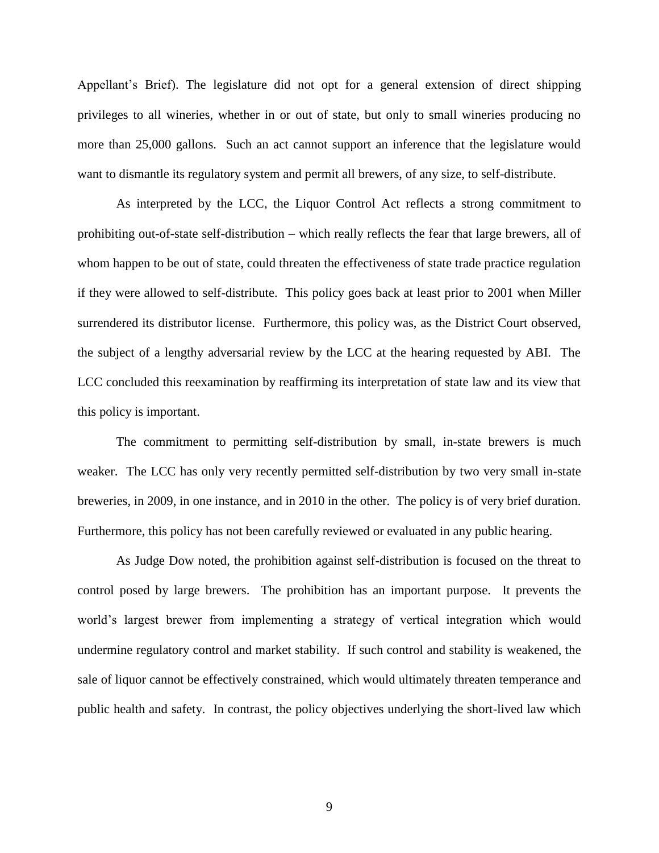Appellant"s Brief). The legislature did not opt for a general extension of direct shipping privileges to all wineries, whether in or out of state, but only to small wineries producing no more than 25,000 gallons. Such an act cannot support an inference that the legislature would want to dismantle its regulatory system and permit all brewers, of any size, to self-distribute.

As interpreted by the LCC, the Liquor Control Act reflects a strong commitment to prohibiting out-of-state self-distribution – which really reflects the fear that large brewers, all of whom happen to be out of state, could threaten the effectiveness of state trade practice regulation if they were allowed to self-distribute. This policy goes back at least prior to 2001 when Miller surrendered its distributor license. Furthermore, this policy was, as the District Court observed, the subject of a lengthy adversarial review by the LCC at the hearing requested by ABI. The LCC concluded this reexamination by reaffirming its interpretation of state law and its view that this policy is important.

The commitment to permitting self-distribution by small, in-state brewers is much weaker. The LCC has only very recently permitted self-distribution by two very small in-state breweries, in 2009, in one instance, and in 2010 in the other. The policy is of very brief duration. Furthermore, this policy has not been carefully reviewed or evaluated in any public hearing.

As Judge Dow noted, the prohibition against self-distribution is focused on the threat to control posed by large brewers. The prohibition has an important purpose. It prevents the world"s largest brewer from implementing a strategy of vertical integration which would undermine regulatory control and market stability. If such control and stability is weakened, the sale of liquor cannot be effectively constrained, which would ultimately threaten temperance and public health and safety. In contrast, the policy objectives underlying the short-lived law which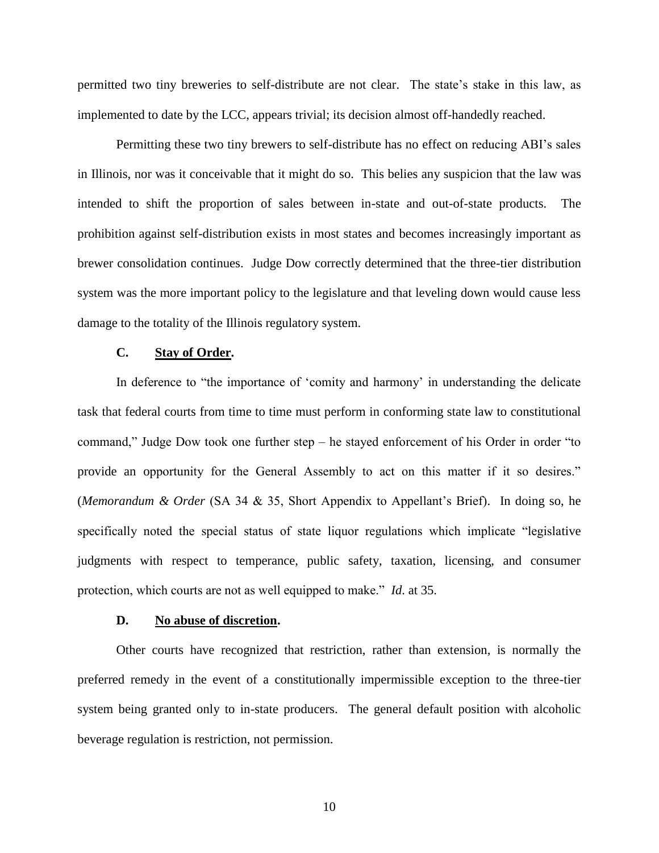permitted two tiny breweries to self-distribute are not clear. The state"s stake in this law, as implemented to date by the LCC, appears trivial; its decision almost off-handedly reached.

Permitting these two tiny brewers to self-distribute has no effect on reducing ABI"s sales in Illinois, nor was it conceivable that it might do so. This belies any suspicion that the law was intended to shift the proportion of sales between in-state and out-of-state products. The prohibition against self-distribution exists in most states and becomes increasingly important as brewer consolidation continues. Judge Dow correctly determined that the three-tier distribution system was the more important policy to the legislature and that leveling down would cause less damage to the totality of the Illinois regulatory system.

## **C. Stay of Order.**

In deference to "the importance of 'comity and harmony' in understanding the delicate task that federal courts from time to time must perform in conforming state law to constitutional command," Judge Dow took one further step – he stayed enforcement of his Order in order "to provide an opportunity for the General Assembly to act on this matter if it so desires." (*Memorandum & Order* (SA 34 & 35, Short Appendix to Appellant"s Brief). In doing so, he specifically noted the special status of state liquor regulations which implicate "legislative judgments with respect to temperance, public safety, taxation, licensing, and consumer protection, which courts are not as well equipped to make." *Id*. at 35.

#### **D. No abuse of discretion.**

Other courts have recognized that restriction, rather than extension, is normally the preferred remedy in the event of a constitutionally impermissible exception to the three-tier system being granted only to in-state producers. The general default position with alcoholic beverage regulation is restriction, not permission.

10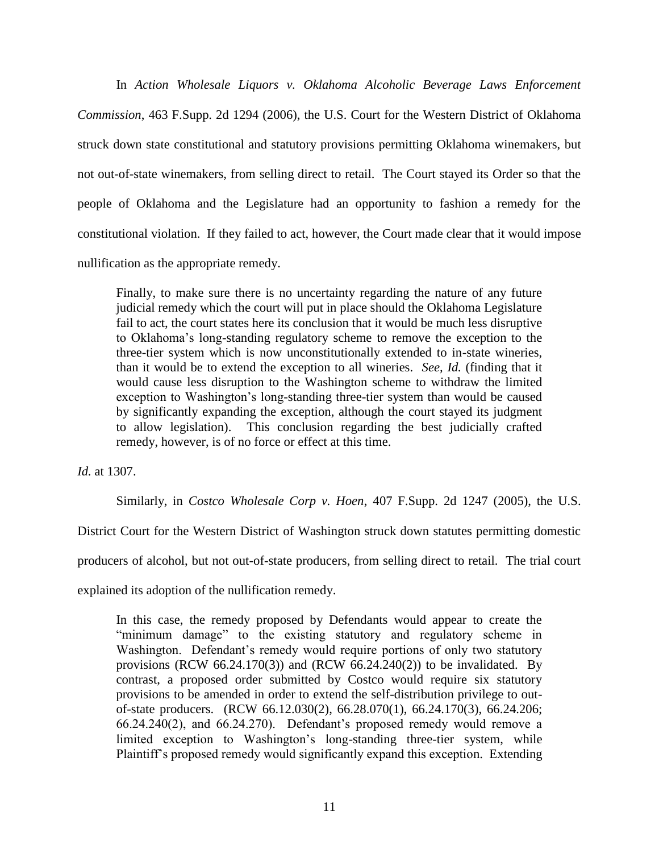In *Action Wholesale Liquors v. Oklahoma Alcoholic Beverage Laws Enforcement Commission*, 463 F.Supp. 2d 1294 (2006), the U.S. Court for the Western District of Oklahoma struck down state constitutional and statutory provisions permitting Oklahoma winemakers, but not out-of-state winemakers, from selling direct to retail. The Court stayed its Order so that the people of Oklahoma and the Legislature had an opportunity to fashion a remedy for the constitutional violation. If they failed to act, however, the Court made clear that it would impose nullification as the appropriate remedy.

Finally, to make sure there is no uncertainty regarding the nature of any future judicial remedy which the court will put in place should the Oklahoma Legislature fail to act, the court states here its conclusion that it would be much less disruptive to Oklahoma"s long-standing regulatory scheme to remove the exception to the three-tier system which is now unconstitutionally extended to in-state wineries, than it would be to extend the exception to all wineries. *See, Id.* (finding that it would cause less disruption to the Washington scheme to withdraw the limited exception to Washington"s long-standing three-tier system than would be caused by significantly expanding the exception, although the court stayed its judgment to allow legislation). This conclusion regarding the best judicially crafted remedy, however, is of no force or effect at this time.

*Id.* at 1307.

Similarly, in *Costco Wholesale Corp v. Hoen*, 407 F.Supp. 2d 1247 (2005), the U.S.

District Court for the Western District of Washington struck down statutes permitting domestic

producers of alcohol, but not out-of-state producers, from selling direct to retail. The trial court

explained its adoption of the nullification remedy.

In this case, the remedy proposed by Defendants would appear to create the "minimum damage" to the existing statutory and regulatory scheme in Washington. Defendant's remedy would require portions of only two statutory provisions (RCW 66.24.170(3)) and (RCW 66.24.240(2)) to be invalidated. By contrast, a proposed order submitted by Costco would require six statutory provisions to be amended in order to extend the self-distribution privilege to outof-state producers. (RCW 66.12.030(2), 66.28.070(1), 66.24.170(3), 66.24.206;  $66.24.240(2)$ , and  $66.24.270$ ). Defendant's proposed remedy would remove a limited exception to Washington's long-standing three-tier system, while Plaintiff"s proposed remedy would significantly expand this exception. Extending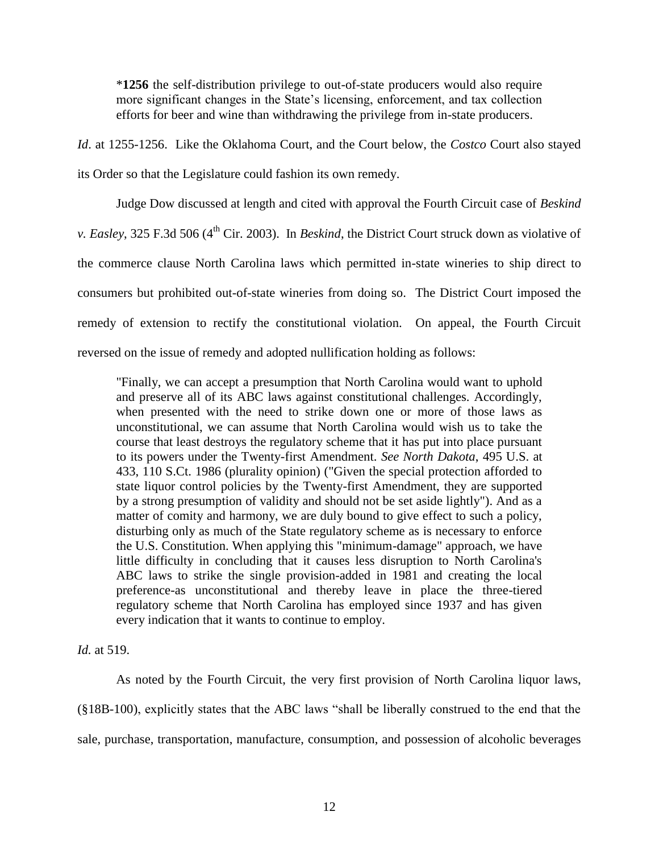\***1256** the self-distribution privilege to out-of-state producers would also require more significant changes in the State's licensing, enforcement, and tax collection efforts for beer and wine than withdrawing the privilege from in-state producers.

*Id*. at 1255-1256. Like the Oklahoma Court, and the Court below, the *Costco* Court also stayed its Order so that the Legislature could fashion its own remedy.

Judge Dow discussed at length and cited with approval the Fourth Circuit case of *Beskind v. Easley*, 325 F.3d 506 (4<sup>th</sup> Cir. 2003). In *Beskind*, the District Court struck down as violative of the commerce clause North Carolina laws which permitted in-state wineries to ship direct to consumers but prohibited out-of-state wineries from doing so. The District Court imposed the remedy of extension to rectify the constitutional violation. On appeal, the Fourth Circuit reversed on the issue of remedy and adopted nullification holding as follows:

"Finally, we can accept a presumption that North Carolina would want to uphold and preserve all of its ABC laws against constitutional challenges. Accordingly, when presented with the need to strike down one or more of those laws as unconstitutional, we can assume that North Carolina would wish us to take the course that least destroys the regulatory scheme that it has put into place pursuant to its powers under the Twenty-first Amendment. *See North Dakota*, 495 U.S. at 433, 110 S.Ct. 1986 (plurality opinion) ("Given the special protection afforded to state liquor control policies by the Twenty-first Amendment, they are supported by a strong presumption of validity and should not be set aside lightly"). And as a matter of comity and harmony, we are duly bound to give effect to such a policy, disturbing only as much of the State regulatory scheme as is necessary to enforce the U.S. Constitution. When applying this "minimum-damage" approach, we have little difficulty in concluding that it causes less disruption to North Carolina's ABC laws to strike the single provision-added in 1981 and creating the local preference-as unconstitutional and thereby leave in place the three-tiered regulatory scheme that North Carolina has employed since 1937 and has given every indication that it wants to continue to employ.

*Id.* at 519.

As noted by the Fourth Circuit, the very first provision of North Carolina liquor laws, (§18B-100), explicitly states that the ABC laws "shall be liberally construed to the end that the sale, purchase, transportation, manufacture, consumption, and possession of alcoholic beverages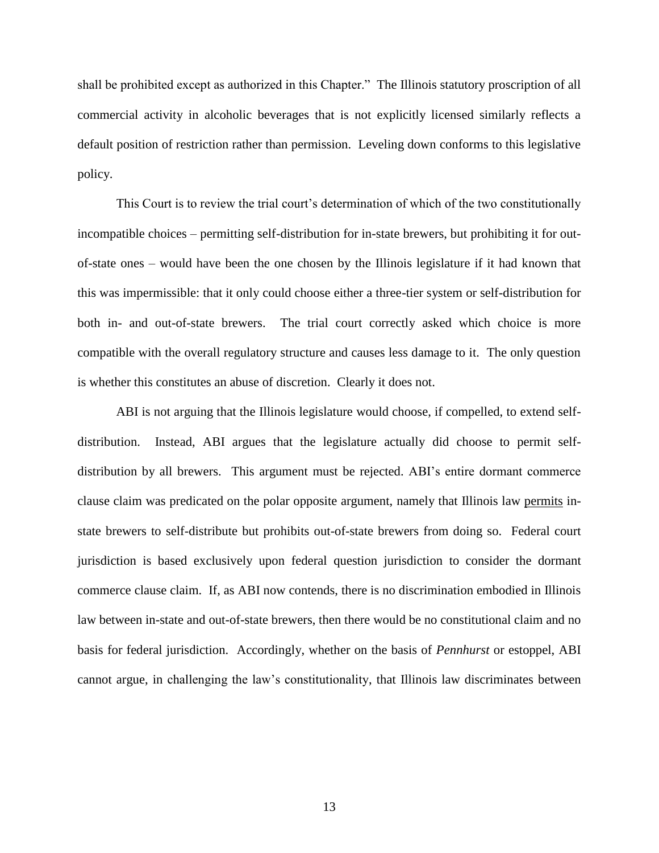shall be prohibited except as authorized in this Chapter." The Illinois statutory proscription of all commercial activity in alcoholic beverages that is not explicitly licensed similarly reflects a default position of restriction rather than permission. Leveling down conforms to this legislative policy.

This Court is to review the trial court"s determination of which of the two constitutionally incompatible choices – permitting self-distribution for in-state brewers, but prohibiting it for outof-state ones – would have been the one chosen by the Illinois legislature if it had known that this was impermissible: that it only could choose either a three-tier system or self-distribution for both in- and out-of-state brewers. The trial court correctly asked which choice is more compatible with the overall regulatory structure and causes less damage to it. The only question is whether this constitutes an abuse of discretion. Clearly it does not.

ABI is not arguing that the Illinois legislature would choose, if compelled, to extend selfdistribution. Instead, ABI argues that the legislature actually did choose to permit selfdistribution by all brewers. This argument must be rejected. ABI"s entire dormant commerce clause claim was predicated on the polar opposite argument, namely that Illinois law permits instate brewers to self-distribute but prohibits out-of-state brewers from doing so. Federal court jurisdiction is based exclusively upon federal question jurisdiction to consider the dormant commerce clause claim. If, as ABI now contends, there is no discrimination embodied in Illinois law between in-state and out-of-state brewers, then there would be no constitutional claim and no basis for federal jurisdiction. Accordingly, whether on the basis of *Pennhurst* or estoppel, ABI cannot argue, in challenging the law"s constitutionality, that Illinois law discriminates between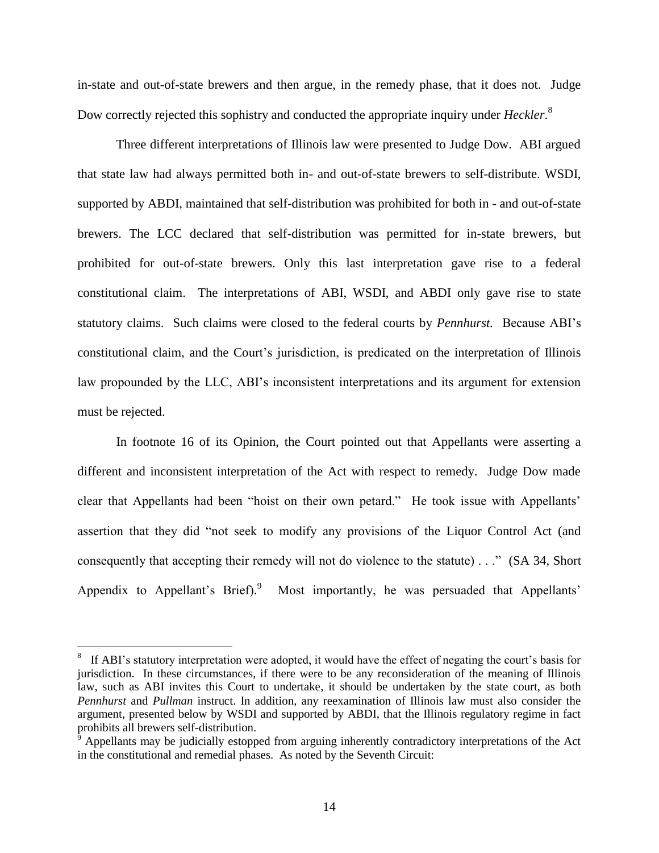in-state and out-of-state brewers and then argue, in the remedy phase, that it does not. Judge Dow correctly rejected this sophistry and conducted the appropriate inquiry under *Heckler*. 8

Three different interpretations of Illinois law were presented to Judge Dow. ABI argued that state law had always permitted both in- and out-of-state brewers to self-distribute. WSDI, supported by ABDI, maintained that self-distribution was prohibited for both in - and out-of-state brewers. The LCC declared that self-distribution was permitted for in-state brewers, but prohibited for out-of-state brewers. Only this last interpretation gave rise to a federal constitutional claim. The interpretations of ABI, WSDI, and ABDI only gave rise to state statutory claims. Such claims were closed to the federal courts by *Pennhurst.* Because ABI"s constitutional claim, and the Court"s jurisdiction, is predicated on the interpretation of Illinois law propounded by the LLC, ABI's inconsistent interpretations and its argument for extension must be rejected.

In footnote 16 of its Opinion, the Court pointed out that Appellants were asserting a different and inconsistent interpretation of the Act with respect to remedy. Judge Dow made clear that Appellants had been "hoist on their own petard." He took issue with Appellants" assertion that they did "not seek to modify any provisions of the Liquor Control Act (and consequently that accepting their remedy will not do violence to the statute) . . ." (SA 34, Short Appendix to Appellant's Brief).<sup>9</sup> Most importantly, he was persuaded that Appellants'

 $\overline{\phantom{a}}$ 

<sup>8</sup> If ABI's statutory interpretation were adopted, it would have the effect of negating the court's basis for jurisdiction. In these circumstances, if there were to be any reconsideration of the meaning of Illinois law, such as ABI invites this Court to undertake, it should be undertaken by the state court, as both *Pennhurst* and *Pullman* instruct. In addition, any reexamination of Illinois law must also consider the argument, presented below by WSDI and supported by ABDI, that the Illinois regulatory regime in fact prohibits all brewers self-distribution.

Appellants may be judicially estopped from arguing inherently contradictory interpretations of the Act in the constitutional and remedial phases. As noted by the Seventh Circuit: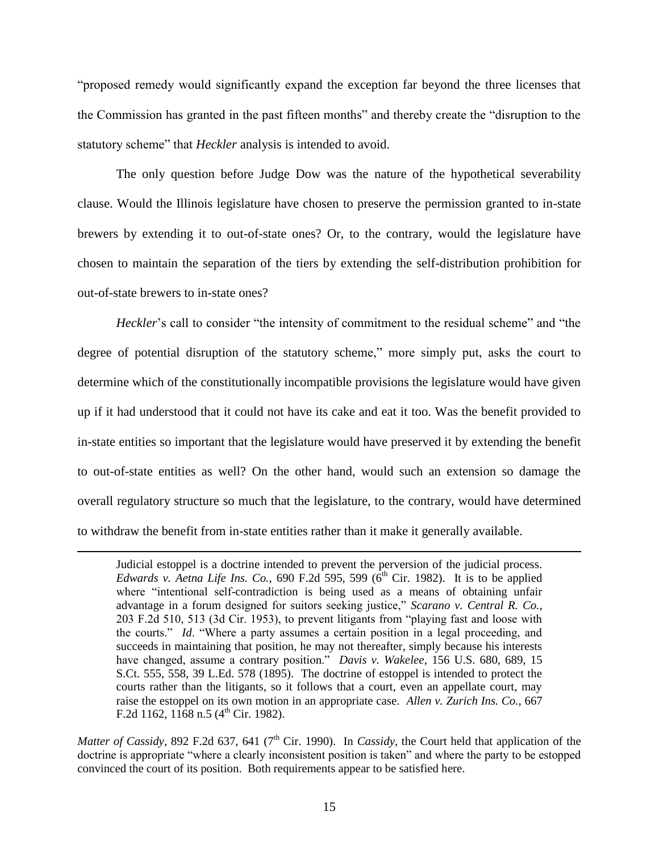"proposed remedy would significantly expand the exception far beyond the three licenses that the Commission has granted in the past fifteen months" and thereby create the "disruption to the statutory scheme" that *Heckler* analysis is intended to avoid.

The only question before Judge Dow was the nature of the hypothetical severability clause. Would the Illinois legislature have chosen to preserve the permission granted to in-state brewers by extending it to out-of-state ones? Or, to the contrary, would the legislature have chosen to maintain the separation of the tiers by extending the self-distribution prohibition for out-of-state brewers to in-state ones?

*Heckler*'s call to consider "the intensity of commitment to the residual scheme" and "the degree of potential disruption of the statutory scheme," more simply put, asks the court to determine which of the constitutionally incompatible provisions the legislature would have given up if it had understood that it could not have its cake and eat it too. Was the benefit provided to in-state entities so important that the legislature would have preserved it by extending the benefit to out-of-state entities as well? On the other hand, would such an extension so damage the overall regulatory structure so much that the legislature, to the contrary, would have determined to withdraw the benefit from in-state entities rather than it make it generally available.

 $\overline{\phantom{a}}$ 

Judicial estoppel is a doctrine intended to prevent the perversion of the judicial process. *Edwards v. Aetna Life Ins. Co.*, 690 F.2d 595, 599 (6<sup>th</sup> Cir. 1982). It is to be applied where "intentional self-contradiction is being used as a means of obtaining unfair advantage in a forum designed for suitors seeking justice," *Scarano v. Central R. Co.*, 203 F.2d 510, 513 (3d Cir. 1953), to prevent litigants from "playing fast and loose with the courts." *Id*. "Where a party assumes a certain position in a legal proceeding, and succeeds in maintaining that position, he may not thereafter, simply because his interests have changed, assume a contrary position." *Davis v. Wakelee*, 156 U.S. 680, 689, 15 S.Ct. 555, 558, 39 L.Ed. 578 (1895). The doctrine of estoppel is intended to protect the courts rather than the litigants, so it follows that a court, even an appellate court, may raise the estoppel on its own motion in an appropriate case. *Allen v. Zurich Ins. Co.*, 667 F.2d 1162,  $1168$  n.5 (4<sup>th</sup> Cir. 1982).

*Matter of Cassidy*, 892 F.2d 637, 641 (7<sup>th</sup> Cir. 1990). In *Cassidy*, the Court held that application of the doctrine is appropriate "where a clearly inconsistent position is taken" and where the party to be estopped convinced the court of its position. Both requirements appear to be satisfied here.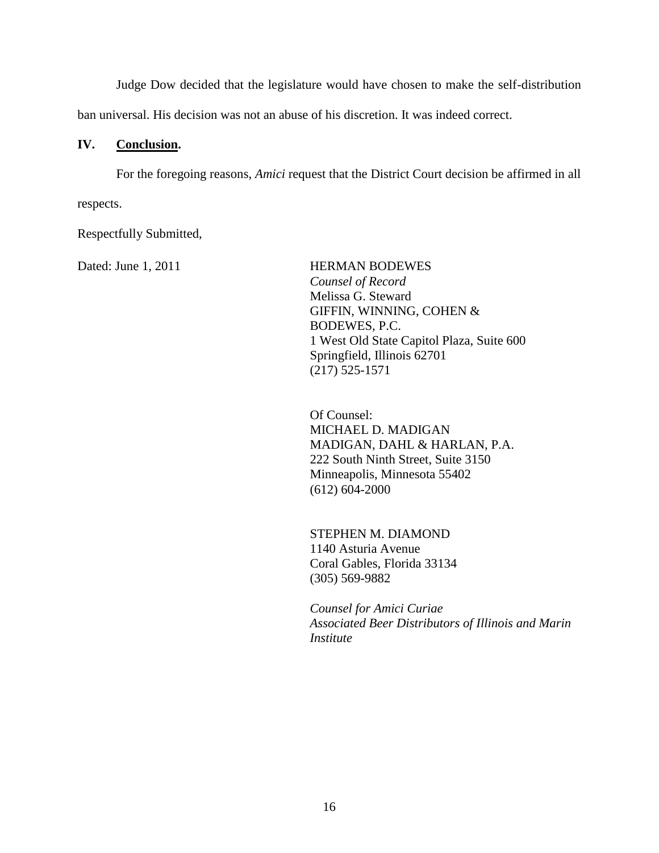Judge Dow decided that the legislature would have chosen to make the self-distribution

ban universal. His decision was not an abuse of his discretion. It was indeed correct.

## **IV. Conclusion.**

For the foregoing reasons, *Amici* request that the District Court decision be affirmed in all respects.

Respectfully Submitted,

Dated: June 1, 2011 HERMAN BODEWES  *Counsel of Record* Melissa G. Steward [GIFFIN, WINNING, COHEN &](http://pview.findlaw.com/view/2319414_1)   [BODEWES, P.C.](http://pview.findlaw.com/view/2319414_1) 1 West Old State Capitol Plaza, Suite 600 Springfield, Illinois 62701 (217) 525-1571

> Of Counsel: MICHAEL D. MADIGAN MADIGAN, DAHL & HARLAN, P.A. 222 South Ninth Street, Suite 3150 Minneapolis, Minnesota 55402 (612) 604-2000

STEPHEN M. DIAMOND 1140 Asturia Avenue Coral Gables, Florida 33134 (305) 569-9882

*Counsel for Amici Curiae Associated Beer Distributors of Illinois and Marin Institute*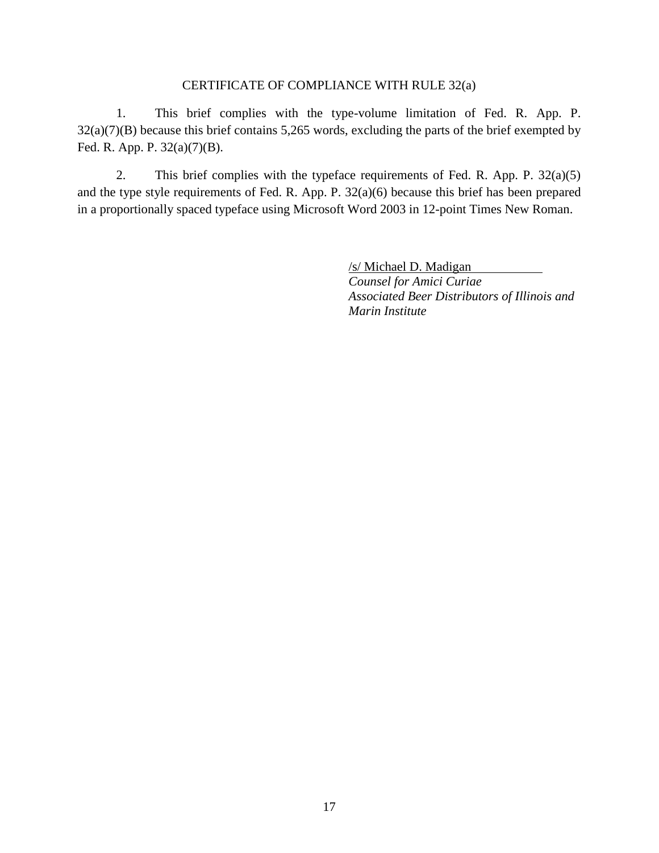## CERTIFICATE OF COMPLIANCE WITH RULE 32(a)

1. This brief complies with the type-volume limitation of Fed. R. App. P. 32(a)(7)(B) because this brief contains 5,265 words, excluding the parts of the brief exempted by Fed. R. App. P. 32(a)(7)(B).

2. This brief complies with the typeface requirements of Fed. R. App. P. 32(a)(5) and the type style requirements of Fed. R. App. P. 32(a)(6) because this brief has been prepared in a proportionally spaced typeface using Microsoft Word 2003 in 12-point Times New Roman.

> /s/ Michael D. Madigan *Counsel for Amici Curiae*

*Associated Beer Distributors of Illinois and Marin Institute*